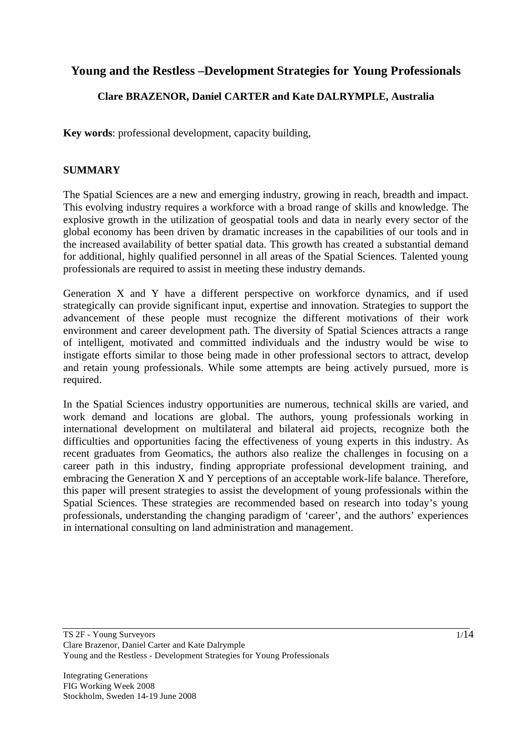# **Young and the Restless –Development Strategies for Young Professionals**

# **Clare BRAZENOR, Daniel CARTER and Kate DALRYMPLE, Australia**

**Key words**: professional development, capacity building,

## **SUMMARY**

The Spatial Sciences are a new and emerging industry, growing in reach, breadth and impact. This evolving industry requires a workforce with a broad range of skills and knowledge. The explosive growth in the utilization of geospatial tools and data in nearly every sector of the global economy has been driven by dramatic increases in the capabilities of our tools and in the increased availability of better spatial data. This growth has created a substantial demand for additional, highly qualified personnel in all areas of the Spatial Sciences. Talented young professionals are required to assist in meeting these industry demands.

Generation X and Y have a different perspective on workforce dynamics, and if used strategically can provide significant input, expertise and innovation. Strategies to support the advancement of these people must recognize the different motivations of their work environment and career development path. The diversity of Spatial Sciences attracts a range of intelligent, motivated and committed individuals and the industry would be wise to instigate efforts similar to those being made in other professional sectors to attract, develop and retain young professionals. While some attempts are being actively pursued, more is required.

In the Spatial Sciences industry opportunities are numerous, technical skills are varied, and work demand and locations are global. The authors, young professionals working in international development on multilateral and bilateral aid projects, recognize both the difficulties and opportunities facing the effectiveness of young experts in this industry. As recent graduates from Geomatics, the authors also realize the challenges in focusing on a career path in this industry, finding appropriate professional development training, and embracing the Generation X and Y perceptions of an acceptable work-life balance. Therefore, this paper will present strategies to assist the development of young professionals within the Spatial Sciences. These strategies are recommended based on research into today's young professionals, understanding the changing paradigm of 'career', and the authors' experiences in international consulting on land administration and management.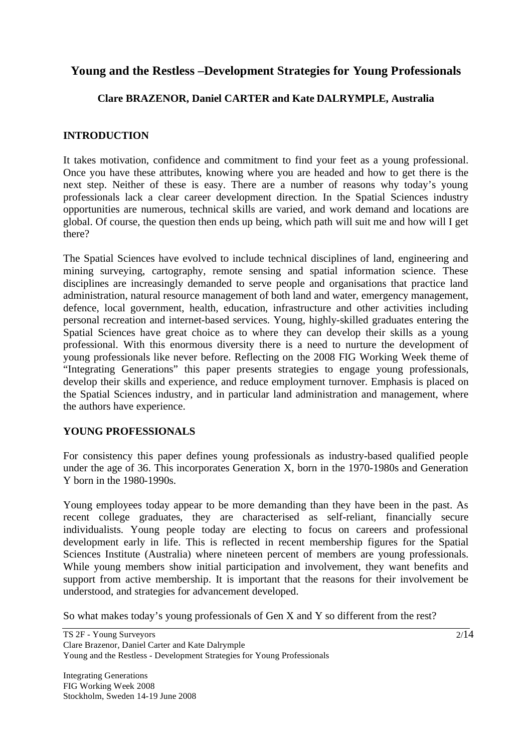# **Young and the Restless –Development Strategies for Young Professionals**

## **Clare BRAZENOR, Daniel CARTER and Kate DALRYMPLE, Australia**

### **INTRODUCTION**

It takes motivation, confidence and commitment to find your feet as a young professional. Once you have these attributes, knowing where you are headed and how to get there is the next step. Neither of these is easy. There are a number of reasons why today's young professionals lack a clear career development direction. In the Spatial Sciences industry opportunities are numerous, technical skills are varied, and work demand and locations are global. Of course, the question then ends up being, which path will suit me and how will I get there?

The Spatial Sciences have evolved to include technical disciplines of land, engineering and mining surveying, cartography, remote sensing and spatial information science. These disciplines are increasingly demanded to serve people and organisations that practice land administration, natural resource management of both land and water, emergency management, defence, local government, health, education, infrastructure and other activities including personal recreation and internet-based services. Young, highly-skilled graduates entering the Spatial Sciences have great choice as to where they can develop their skills as a young professional. With this enormous diversity there is a need to nurture the development of young professionals like never before. Reflecting on the 2008 FIG Working Week theme of "Integrating Generations" this paper presents strategies to engage young professionals, develop their skills and experience, and reduce employment turnover. Emphasis is placed on the Spatial Sciences industry, and in particular land administration and management, where the authors have experience.

### **YOUNG PROFESSIONALS**

For consistency this paper defines young professionals as industry-based qualified people under the age of 36. This incorporates Generation X, born in the 1970-1980s and Generation Y born in the 1980-1990s.

Young employees today appear to be more demanding than they have been in the past. As recent college graduates, they are characterised as self-reliant, financially secure individualists. Young people today are electing to focus on careers and professional development early in life. This is reflected in recent membership figures for the Spatial Sciences Institute (Australia) where nineteen percent of members are young professionals. While young members show initial participation and involvement, they want benefits and support from active membership. It is important that the reasons for their involvement be understood, and strategies for advancement developed.

So what makes today's young professionals of Gen X and Y so different from the rest?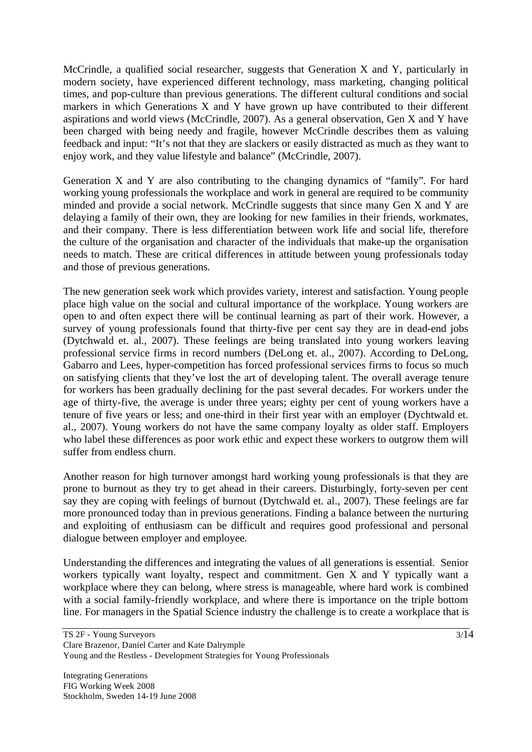McCrindle, a qualified social researcher, suggests that Generation X and Y, particularly in modern society, have experienced different technology, mass marketing, changing political times, and pop-culture than previous generations. The different cultural conditions and social markers in which Generations X and Y have grown up have contributed to their different aspirations and world views (McCrindle, 2007). As a general observation, Gen X and Y have been charged with being needy and fragile, however McCrindle describes them as valuing feedback and input: "It's not that they are slackers or easily distracted as much as they want to enjoy work, and they value lifestyle and balance" (McCrindle, 2007).

Generation X and Y are also contributing to the changing dynamics of "family". For hard working young professionals the workplace and work in general are required to be community minded and provide a social network. McCrindle suggests that since many Gen X and Y are delaying a family of their own, they are looking for new families in their friends, workmates, and their company. There is less differentiation between work life and social life, therefore the culture of the organisation and character of the individuals that make-up the organisation needs to match. These are critical differences in attitude between young professionals today and those of previous generations.

The new generation seek work which provides variety, interest and satisfaction. Young people place high value on the social and cultural importance of the workplace. Young workers are open to and often expect there will be continual learning as part of their work. However, a survey of young professionals found that thirty-five per cent say they are in dead-end jobs (Dytchwald et. al., 2007). These feelings are being translated into young workers leaving professional service firms in record numbers (DeLong et. al., 2007). According to DeLong, Gabarro and Lees, hyper-competition has forced professional services firms to focus so much on satisfying clients that they've lost the art of developing talent. The overall average tenure for workers has been gradually declining for the past several decades. For workers under the age of thirty-five, the average is under three years; eighty per cent of young workers have a tenure of five years or less; and one-third in their first year with an employer (Dychtwald et. al., 2007). Young workers do not have the same company loyalty as older staff. Employers who label these differences as poor work ethic and expect these workers to outgrow them will suffer from endless churn.

Another reason for high turnover amongst hard working young professionals is that they are prone to burnout as they try to get ahead in their careers. Disturbingly, forty-seven per cent say they are coping with feelings of burnout (Dytchwald et. al., 2007). These feelings are far more pronounced today than in previous generations. Finding a balance between the nurturing and exploiting of enthusiasm can be difficult and requires good professional and personal dialogue between employer and employee.

Understanding the differences and integrating the values of all generations is essential. Senior workers typically want loyalty, respect and commitment. Gen X and Y typically want a workplace where they can belong, where stress is manageable, where hard work is combined with a social family-friendly workplace, and where there is importance on the triple bottom line. For managers in the Spatial Science industry the challenge is to create a workplace that is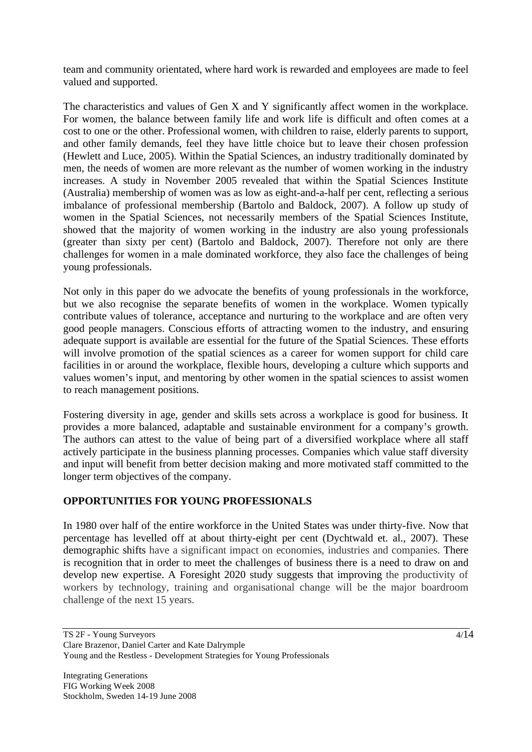team and community orientated, where hard work is rewarded and employees are made to feel valued and supported.

The characteristics and values of Gen X and Y significantly affect women in the workplace. For women, the balance between family life and work life is difficult and often comes at a cost to one or the other. Professional women, with children to raise, elderly parents to support, and other family demands, feel they have little choice but to leave their chosen profession (Hewlett and Luce, 2005). Within the Spatial Sciences, an industry traditionally dominated by men, the needs of women are more relevant as the number of women working in the industry increases. A study in November 2005 revealed that within the Spatial Sciences Institute (Australia) membership of women was as low as eight-and-a-half per cent, reflecting a serious imbalance of professional membership (Bartolo and Baldock, 2007). A follow up study of women in the Spatial Sciences, not necessarily members of the Spatial Sciences Institute, showed that the majority of women working in the industry are also young professionals (greater than sixty per cent) (Bartolo and Baldock, 2007). Therefore not only are there challenges for women in a male dominated workforce, they also face the challenges of being young professionals.

Not only in this paper do we advocate the benefits of young professionals in the workforce, but we also recognise the separate benefits of women in the workplace. Women typically contribute values of tolerance, acceptance and nurturing to the workplace and are often very good people managers. Conscious efforts of attracting women to the industry, and ensuring adequate support is available are essential for the future of the Spatial Sciences. These efforts will involve promotion of the spatial sciences as a career for women support for child care facilities in or around the workplace, flexible hours, developing a culture which supports and values women's input, and mentoring by other women in the spatial sciences to assist women to reach management positions.

Fostering diversity in age, gender and skills sets across a workplace is good for business. It provides a more balanced, adaptable and sustainable environment for a company's growth. The authors can attest to the value of being part of a diversified workplace where all staff actively participate in the business planning processes. Companies which value staff diversity and input will benefit from better decision making and more motivated staff committed to the longer term objectives of the company.

### **OPPORTUNITIES FOR YOUNG PROFESSIONALS**

In 1980 over half of the entire workforce in the United States was under thirty-five. Now that percentage has levelled off at about thirty-eight per cent (Dychtwald et. al., 2007). These demographic shifts have a significant impact on economies, industries and companies. There is recognition that in order to meet the challenges of business there is a need to draw on and develop new expertise. A Foresight 2020 study suggests that improving the productivity of workers by technology, training and organisational change will be the major boardroom challenge of the next 15 years.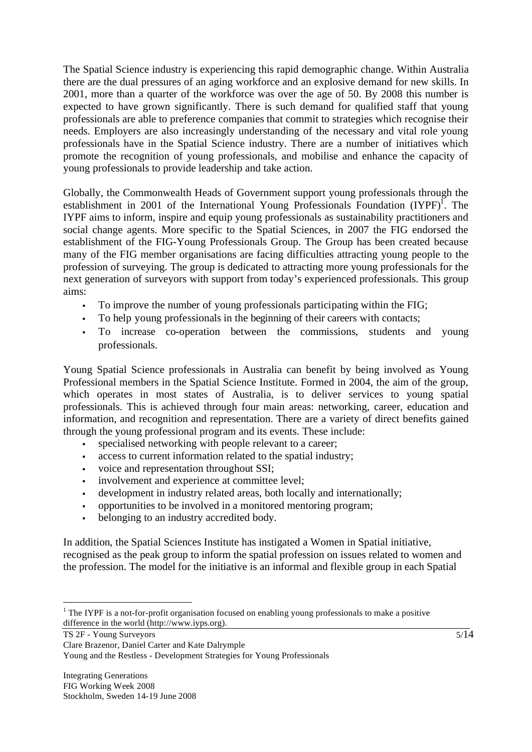The Spatial Science industry is experiencing this rapid demographic change. Within Australia there are the dual pressures of an aging workforce and an explosive demand for new skills. In 2001, more than a quarter of the workforce was over the age of 50. By 2008 this number is expected to have grown significantly. There is such demand for qualified staff that young professionals are able to preference companies that commit to strategies which recognise their needs. Employers are also increasingly understanding of the necessary and vital role young professionals have in the Spatial Science industry. There are a number of initiatives which promote the recognition of young professionals, and mobilise and enhance the capacity of young professionals to provide leadership and take action.

Globally, the Commonwealth Heads of Government support young professionals through the establishment in 2001 of the International Young Professionals Foundation  $(IVPF)^{1}$ . The IYPF aims to inform, inspire and equip young professionals as sustainability practitioners and social change agents. More specific to the Spatial Sciences, in 2007 the FIG endorsed the establishment of the FIG-Young Professionals Group. The Group has been created because many of the FIG member organisations are facing difficulties attracting young people to the profession of surveying. The group is dedicated to attracting more young professionals for the next generation of surveyors with support from today's experienced professionals. This group aims:

- To improve the number of young professionals participating within the FIG;
- To help young professionals in the beginning of their careers with contacts;
- To increase co-operation between the commissions, students and young professionals.

Young Spatial Science professionals in Australia can benefit by being involved as Young Professional members in the Spatial Science Institute. Formed in 2004, the aim of the group, which operates in most states of Australia, is to deliver services to young spatial professionals. This is achieved through four main areas: networking, career, education and information, and recognition and representation. There are a variety of direct benefits gained through the young professional program and its events. These include:

- specialised networking with people relevant to a career;
- access to current information related to the spatial industry;
- voice and representation throughout SSI;
- involvement and experience at committee level;
- development in industry related areas, both locally and internationally;
- opportunities to be involved in a monitored mentoring program;
- belonging to an industry accredited body.

In addition, the Spatial Sciences Institute has instigated a Women in Spatial initiative, recognised as the peak group to inform the spatial profession on issues related to women and the profession. The model for the initiative is an informal and flexible group in each Spatial

TS 2F - Young Surveyors

 $\overline{a}$ 

5/14

Clare Brazenor, Daniel Carter and Kate Dalrymple Young and the Restless - Development Strategies for Young Professionals

 $1$  The IYPF is a not-for-profit organisation focused on enabling young professionals to make a positive difference in the world (http://www.iyps.org).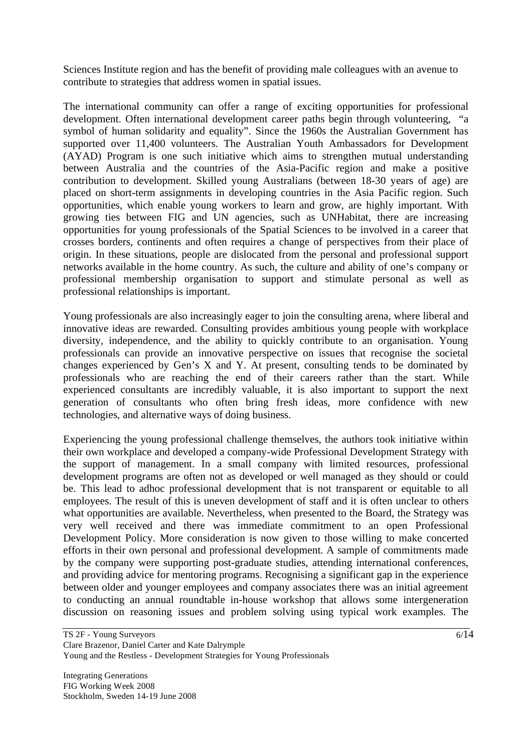Sciences Institute region and has the benefit of providing male colleagues with an avenue to contribute to strategies that address women in spatial issues.

The international community can offer a range of exciting opportunities for professional development. Often international development career paths begin through volunteering, "a symbol of human solidarity and equality". Since the 1960s the Australian Government has supported over 11,400 volunteers. The Australian Youth Ambassadors for Development (AYAD) Program is one such initiative which aims to strengthen mutual understanding between Australia and the countries of the Asia-Pacific region and make a positive contribution to development. Skilled young Australians (between 18-30 years of age) are placed on short-term assignments in developing countries in the Asia Pacific region. Such opportunities, which enable young workers to learn and grow, are highly important. With growing ties between FIG and UN agencies, such as UNHabitat, there are increasing opportunities for young professionals of the Spatial Sciences to be involved in a career that crosses borders, continents and often requires a change of perspectives from their place of origin. In these situations, people are dislocated from the personal and professional support networks available in the home country. As such, the culture and ability of one's company or professional membership organisation to support and stimulate personal as well as professional relationships is important.

Young professionals are also increasingly eager to join the consulting arena, where liberal and innovative ideas are rewarded. Consulting provides ambitious young people with workplace diversity, independence, and the ability to quickly contribute to an organisation. Young professionals can provide an innovative perspective on issues that recognise the societal changes experienced by Gen's X and Y. At present, consulting tends to be dominated by professionals who are reaching the end of their careers rather than the start. While experienced consultants are incredibly valuable, it is also important to support the next generation of consultants who often bring fresh ideas, more confidence with new technologies, and alternative ways of doing business.

Experiencing the young professional challenge themselves, the authors took initiative within their own workplace and developed a company-wide Professional Development Strategy with the support of management. In a small company with limited resources, professional development programs are often not as developed or well managed as they should or could be. This lead to adhoc professional development that is not transparent or equitable to all employees. The result of this is uneven development of staff and it is often unclear to others what opportunities are available. Nevertheless, when presented to the Board, the Strategy was very well received and there was immediate commitment to an open Professional Development Policy. More consideration is now given to those willing to make concerted efforts in their own personal and professional development. A sample of commitments made by the company were supporting post-graduate studies, attending international conferences, and providing advice for mentoring programs. Recognising a significant gap in the experience between older and younger employees and company associates there was an initial agreement to conducting an annual roundtable in-house workshop that allows some intergeneration discussion on reasoning issues and problem solving using typical work examples. The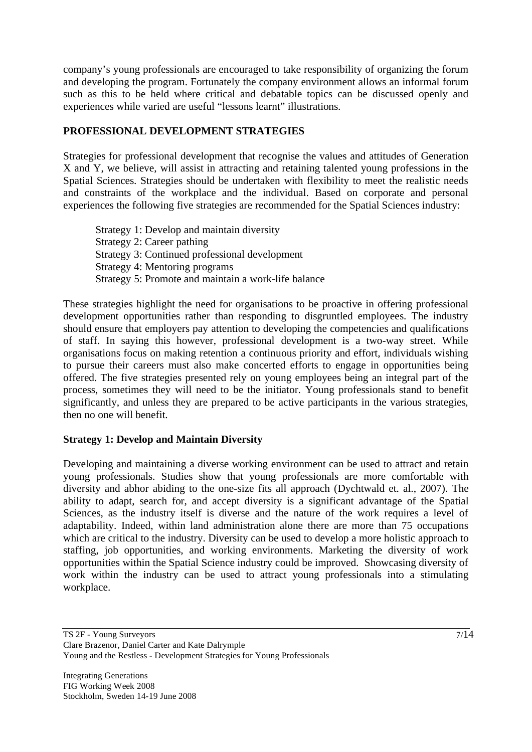company's young professionals are encouraged to take responsibility of organizing the forum and developing the program. Fortunately the company environment allows an informal forum such as this to be held where critical and debatable topics can be discussed openly and experiences while varied are useful "lessons learnt" illustrations.

### **PROFESSIONAL DEVELOPMENT STRATEGIES**

Strategies for professional development that recognise the values and attitudes of Generation X and Y, we believe, will assist in attracting and retaining talented young professions in the Spatial Sciences. Strategies should be undertaken with flexibility to meet the realistic needs and constraints of the workplace and the individual. Based on corporate and personal experiences the following five strategies are recommended for the Spatial Sciences industry:

Strategy 1: Develop and maintain diversity Strategy 2: Career pathing Strategy 3: Continued professional development Strategy 4: Mentoring programs Strategy 5: Promote and maintain a work-life balance

These strategies highlight the need for organisations to be proactive in offering professional development opportunities rather than responding to disgruntled employees. The industry should ensure that employers pay attention to developing the competencies and qualifications of staff. In saying this however, professional development is a two-way street. While organisations focus on making retention a continuous priority and effort, individuals wishing to pursue their careers must also make concerted efforts to engage in opportunities being offered. The five strategies presented rely on young employees being an integral part of the process, sometimes they will need to be the initiator. Young professionals stand to benefit significantly, and unless they are prepared to be active participants in the various strategies, then no one will benefit.

### **Strategy 1: Develop and Maintain Diversity**

Developing and maintaining a diverse working environment can be used to attract and retain young professionals. Studies show that young professionals are more comfortable with diversity and abhor abiding to the one-size fits all approach (Dychtwald et. al., 2007). The ability to adapt, search for, and accept diversity is a significant advantage of the Spatial Sciences, as the industry itself is diverse and the nature of the work requires a level of adaptability. Indeed, within land administration alone there are more than 75 occupations which are critical to the industry. Diversity can be used to develop a more holistic approach to staffing, job opportunities, and working environments. Marketing the diversity of work opportunities within the Spatial Science industry could be improved. Showcasing diversity of work within the industry can be used to attract young professionals into a stimulating workplace.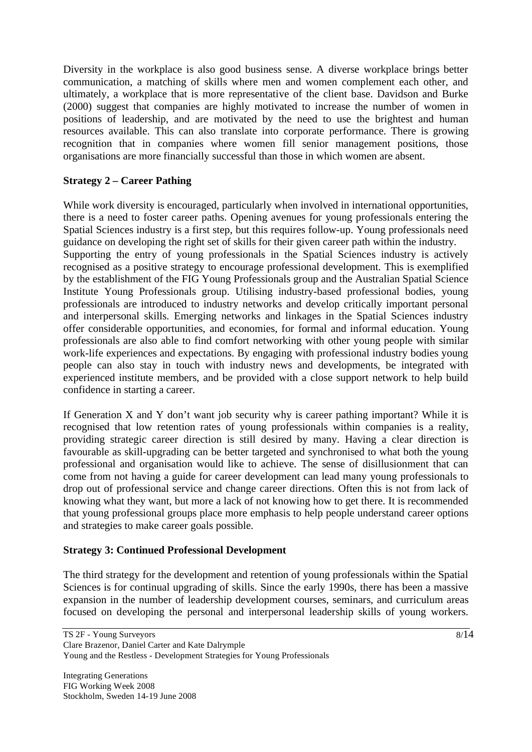Diversity in the workplace is also good business sense. A diverse workplace brings better communication, a matching of skills where men and women complement each other, and ultimately, a workplace that is more representative of the client base. Davidson and Burke (2000) suggest that companies are highly motivated to increase the number of women in positions of leadership, and are motivated by the need to use the brightest and human resources available. This can also translate into corporate performance. There is growing recognition that in companies where women fill senior management positions, those organisations are more financially successful than those in which women are absent.

## **Strategy 2 – Career Pathing**

While work diversity is encouraged, particularly when involved in international opportunities, there is a need to foster career paths. Opening avenues for young professionals entering the Spatial Sciences industry is a first step, but this requires follow-up. Young professionals need guidance on developing the right set of skills for their given career path within the industry. Supporting the entry of young professionals in the Spatial Sciences industry is actively recognised as a positive strategy to encourage professional development. This is exemplified by the establishment of the FIG Young Professionals group and the Australian Spatial Science Institute Young Professionals group. Utilising industry-based professional bodies, young professionals are introduced to industry networks and develop critically important personal and interpersonal skills. Emerging networks and linkages in the Spatial Sciences industry offer considerable opportunities, and economies, for formal and informal education. Young professionals are also able to find comfort networking with other young people with similar work-life experiences and expectations. By engaging with professional industry bodies young people can also stay in touch with industry news and developments, be integrated with experienced institute members, and be provided with a close support network to help build confidence in starting a career.

If Generation X and Y don't want job security why is career pathing important? While it is recognised that low retention rates of young professionals within companies is a reality, providing strategic career direction is still desired by many. Having a clear direction is favourable as skill-upgrading can be better targeted and synchronised to what both the young professional and organisation would like to achieve. The sense of disillusionment that can come from not having a guide for career development can lead many young professionals to drop out of professional service and change career directions. Often this is not from lack of knowing what they want, but more a lack of not knowing how to get there. It is recommended that young professional groups place more emphasis to help people understand career options and strategies to make career goals possible.

### **Strategy 3: Continued Professional Development**

The third strategy for the development and retention of young professionals within the Spatial Sciences is for continual upgrading of skills. Since the early 1990s, there has been a massive expansion in the number of leadership development courses, seminars, and curriculum areas focused on developing the personal and interpersonal leadership skills of young workers.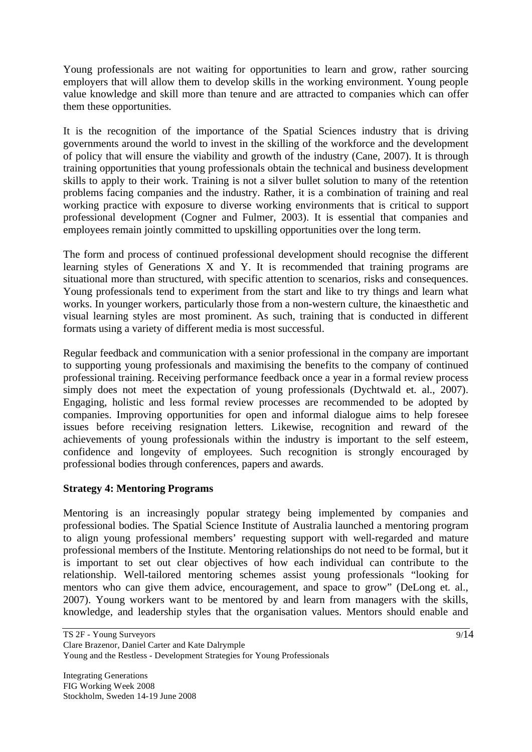Young professionals are not waiting for opportunities to learn and grow, rather sourcing employers that will allow them to develop skills in the working environment. Young people value knowledge and skill more than tenure and are attracted to companies which can offer them these opportunities.

It is the recognition of the importance of the Spatial Sciences industry that is driving governments around the world to invest in the skilling of the workforce and the development of policy that will ensure the viability and growth of the industry (Cane, 2007). It is through training opportunities that young professionals obtain the technical and business development skills to apply to their work. Training is not a silver bullet solution to many of the retention problems facing companies and the industry. Rather, it is a combination of training and real working practice with exposure to diverse working environments that is critical to support professional development (Cogner and Fulmer, 2003). It is essential that companies and employees remain jointly committed to upskilling opportunities over the long term.

The form and process of continued professional development should recognise the different learning styles of Generations X and Y. It is recommended that training programs are situational more than structured, with specific attention to scenarios, risks and consequences. Young professionals tend to experiment from the start and like to try things and learn what works. In younger workers, particularly those from a non-western culture, the kinaesthetic and visual learning styles are most prominent. As such, training that is conducted in different formats using a variety of different media is most successful.

Regular feedback and communication with a senior professional in the company are important to supporting young professionals and maximising the benefits to the company of continued professional training. Receiving performance feedback once a year in a formal review process simply does not meet the expectation of young professionals (Dychtwald et. al., 2007). Engaging, holistic and less formal review processes are recommended to be adopted by companies. Improving opportunities for open and informal dialogue aims to help foresee issues before receiving resignation letters. Likewise, recognition and reward of the achievements of young professionals within the industry is important to the self esteem, confidence and longevity of employees. Such recognition is strongly encouraged by professional bodies through conferences, papers and awards.

# **Strategy 4: Mentoring Programs**

Mentoring is an increasingly popular strategy being implemented by companies and professional bodies. The Spatial Science Institute of Australia launched a mentoring program to align young professional members' requesting support with well-regarded and mature professional members of the Institute. Mentoring relationships do not need to be formal, but it is important to set out clear objectives of how each individual can contribute to the relationship. Well-tailored mentoring schemes assist young professionals "looking for mentors who can give them advice, encouragement, and space to grow" (DeLong et. al., 2007). Young workers want to be mentored by and learn from managers with the skills, knowledge, and leadership styles that the organisation values. Mentors should enable and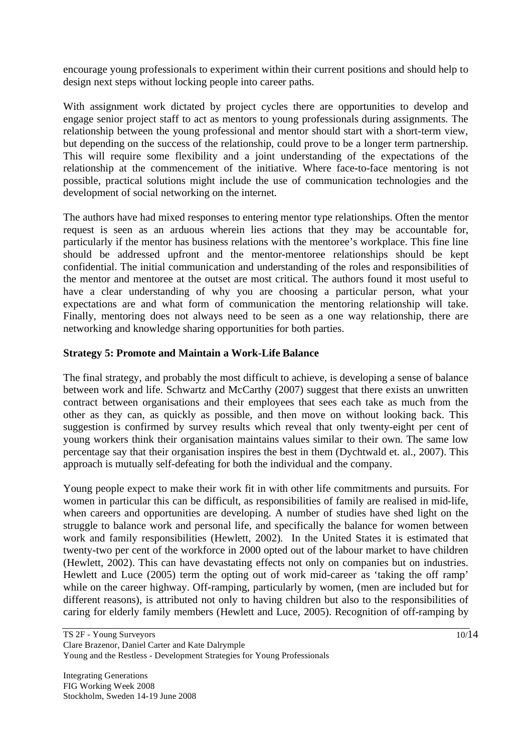encourage young professionals to experiment within their current positions and should help to design next steps without locking people into career paths.

With assignment work dictated by project cycles there are opportunities to develop and engage senior project staff to act as mentors to young professionals during assignments. The relationship between the young professional and mentor should start with a short-term view, but depending on the success of the relationship, could prove to be a longer term partnership. This will require some flexibility and a joint understanding of the expectations of the relationship at the commencement of the initiative. Where face-to-face mentoring is not possible, practical solutions might include the use of communication technologies and the development of social networking on the internet.

The authors have had mixed responses to entering mentor type relationships. Often the mentor request is seen as an arduous wherein lies actions that they may be accountable for, particularly if the mentor has business relations with the mentoree's workplace. This fine line should be addressed upfront and the mentor-mentoree relationships should be kept confidential. The initial communication and understanding of the roles and responsibilities of the mentor and mentoree at the outset are most critical. The authors found it most useful to have a clear understanding of why you are choosing a particular person, what your expectations are and what form of communication the mentoring relationship will take. Finally, mentoring does not always need to be seen as a one way relationship, there are networking and knowledge sharing opportunities for both parties.

### **Strategy 5: Promote and Maintain a Work-Life Balance**

The final strategy, and probably the most difficult to achieve, is developing a sense of balance between work and life. Schwartz and McCarthy (2007) suggest that there exists an unwritten contract between organisations and their employees that sees each take as much from the other as they can, as quickly as possible, and then move on without looking back. This suggestion is confirmed by survey results which reveal that only twenty-eight per cent of young workers think their organisation maintains values similar to their own. The same low percentage say that their organisation inspires the best in them (Dychtwald et. al., 2007). This approach is mutually self-defeating for both the individual and the company.

Young people expect to make their work fit in with other life commitments and pursuits. For women in particular this can be difficult, as responsibilities of family are realised in mid-life, when careers and opportunities are developing. A number of studies have shed light on the struggle to balance work and personal life, and specifically the balance for women between work and family responsibilities (Hewlett, 2002). In the United States it is estimated that twenty-two per cent of the workforce in 2000 opted out of the labour market to have children (Hewlett, 2002). This can have devastating effects not only on companies but on industries. Hewlett and Luce (2005) term the opting out of work mid-career as 'taking the off ramp' while on the career highway. Off-ramping, particularly by women, (men are included but for different reasons), is attributed not only to having children but also to the responsibilities of caring for elderly family members (Hewlett and Luce, 2005). Recognition of off-ramping by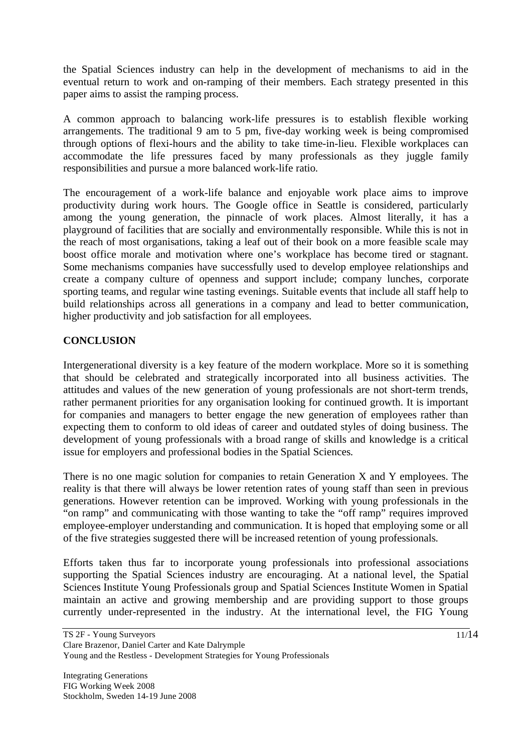the Spatial Sciences industry can help in the development of mechanisms to aid in the eventual return to work and on-ramping of their members. Each strategy presented in this paper aims to assist the ramping process.

A common approach to balancing work-life pressures is to establish flexible working arrangements. The traditional 9 am to 5 pm, five-day working week is being compromised through options of flexi-hours and the ability to take time-in-lieu. Flexible workplaces can accommodate the life pressures faced by many professionals as they juggle family responsibilities and pursue a more balanced work-life ratio.

The encouragement of a work-life balance and enjoyable work place aims to improve productivity during work hours. The Google office in Seattle is considered, particularly among the young generation, the pinnacle of work places. Almost literally, it has a playground of facilities that are socially and environmentally responsible. While this is not in the reach of most organisations, taking a leaf out of their book on a more feasible scale may boost office morale and motivation where one's workplace has become tired or stagnant. Some mechanisms companies have successfully used to develop employee relationships and create a company culture of openness and support include; company lunches, corporate sporting teams, and regular wine tasting evenings. Suitable events that include all staff help to build relationships across all generations in a company and lead to better communication, higher productivity and job satisfaction for all employees.

### **CONCLUSION**

Intergenerational diversity is a key feature of the modern workplace. More so it is something that should be celebrated and strategically incorporated into all business activities. The attitudes and values of the new generation of young professionals are not short-term trends, rather permanent priorities for any organisation looking for continued growth. It is important for companies and managers to better engage the new generation of employees rather than expecting them to conform to old ideas of career and outdated styles of doing business. The development of young professionals with a broad range of skills and knowledge is a critical issue for employers and professional bodies in the Spatial Sciences.

There is no one magic solution for companies to retain Generation X and Y employees. The reality is that there will always be lower retention rates of young staff than seen in previous generations. However retention can be improved. Working with young professionals in the "on ramp" and communicating with those wanting to take the "off ramp" requires improved employee-employer understanding and communication. It is hoped that employing some or all of the five strategies suggested there will be increased retention of young professionals.

Efforts taken thus far to incorporate young professionals into professional associations supporting the Spatial Sciences industry are encouraging. At a national level, the Spatial Sciences Institute Young Professionals group and Spatial Sciences Institute Women in Spatial maintain an active and growing membership and are providing support to those groups currently under-represented in the industry. At the international level, the FIG Young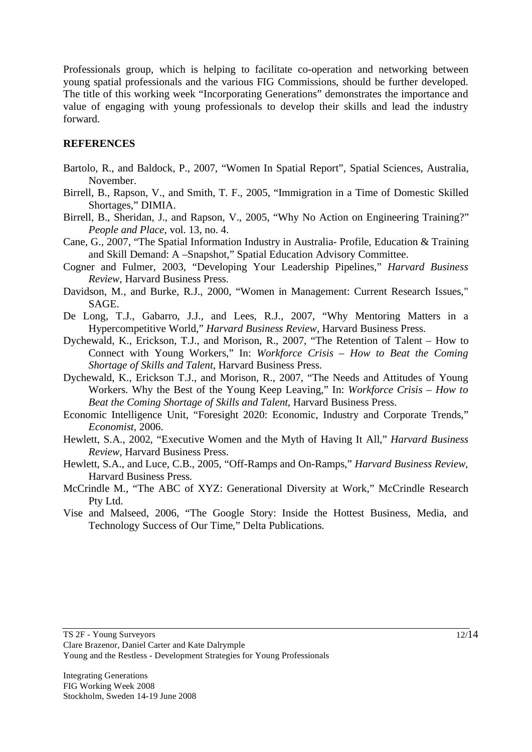Professionals group, which is helping to facilitate co-operation and networking between young spatial professionals and the various FIG Commissions, should be further developed. The title of this working week "Incorporating Generations" demonstrates the importance and value of engaging with young professionals to develop their skills and lead the industry forward.

### **REFERENCES**

- Bartolo, R., and Baldock, P., 2007, "Women In Spatial Report", Spatial Sciences, Australia, November.
- Birrell, B., Rapson, V., and Smith, T. F., 2005, "Immigration in a Time of Domestic Skilled Shortages," DIMIA.
- Birrell, B., Sheridan, J., and Rapson, V., 2005, "Why No Action on Engineering Training?" *People and Place*, vol. 13, no. 4.
- Cane, G., 2007, "The Spatial Information Industry in Australia- Profile, Education & Training and Skill Demand: A –Snapshot," Spatial Education Advisory Committee.
- Cogner and Fulmer, 2003, "Developing Your Leadership Pipelines," *Harvard Business Review,* Harvard Business Press.
- Davidson, M., and Burke, R.J., 2000, "Women in Management: Current Research Issues," SAGE.
- De Long, T.J., Gabarro, J.J., and Lees, R.J., 2007, "Why Mentoring Matters in a Hypercompetitive World," *Harvard Business Review,* Harvard Business Press.
- Dychewald, K., Erickson, T.J., and Morison, R., 2007, "The Retention of Talent How to Connect with Young Workers," In: *Workforce Crisis* – *How to Beat the Coming Shortage of Skills and Talent*, Harvard Business Press.
- Dychewald, K., Erickson T.J., and Morison, R., 2007, "The Needs and Attitudes of Young Workers. Why the Best of the Young Keep Leaving," In: *Workforce Crisis* – *How to Beat the Coming Shortage of Skills and Talent*, Harvard Business Press.
- Economic Intelligence Unit, "Foresight 2020: Economic, Industry and Corporate Trends," *Economist,* 2006.
- Hewlett, S.A., 2002, "Executive Women and the Myth of Having It All," *Harvard Business Review,* Harvard Business Press.
- Hewlett, S.A., and Luce, C.B., 2005, "Off-Ramps and On-Ramps," *Harvard Business Review,*  Harvard Business Press.
- McCrindle M., "The ABC of XYZ: Generational Diversity at Work," McCrindle Research Pty Ltd.
- Vise and Malseed, 2006, "The Google Story: Inside the Hottest Business, Media, and Technology Success of Our Time," Delta Publications.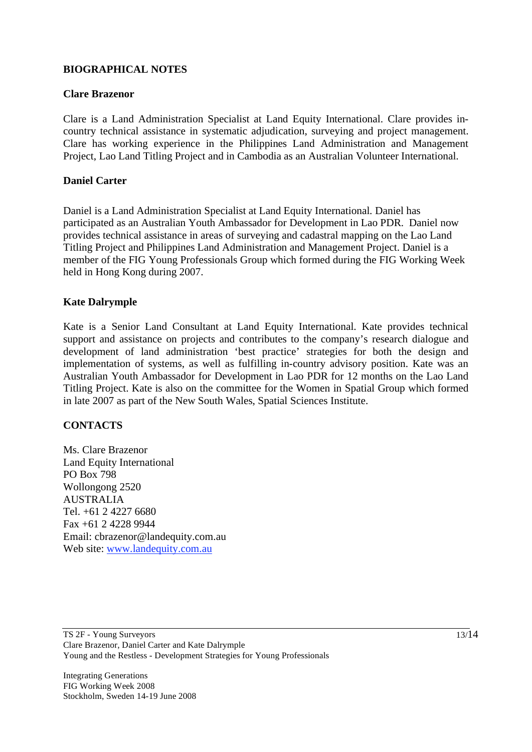### **BIOGRAPHICAL NOTES**

#### **Clare Brazenor**

Clare is a Land Administration Specialist at Land Equity International. Clare provides incountry technical assistance in systematic adjudication, surveying and project management. Clare has working experience in the Philippines Land Administration and Management Project, Lao Land Titling Project and in Cambodia as an Australian Volunteer International.

#### **Daniel Carter**

Daniel is a Land Administration Specialist at Land Equity International. Daniel has participated as an Australian Youth Ambassador for Development in Lao PDR. Daniel now provides technical assistance in areas of surveying and cadastral mapping on the Lao Land Titling Project and Philippines Land Administration and Management Project. Daniel is a member of the FIG Young Professionals Group which formed during the FIG Working Week held in Hong Kong during 2007.

#### **Kate Dalrymple**

Kate is a Senior Land Consultant at Land Equity International. Kate provides technical support and assistance on projects and contributes to the company's research dialogue and development of land administration 'best practice' strategies for both the design and implementation of systems, as well as fulfilling in-country advisory position. Kate was an Australian Youth Ambassador for Development in Lao PDR for 12 months on the Lao Land Titling Project. Kate is also on the committee for the Women in Spatial Group which formed in late 2007 as part of the New South Wales, Spatial Sciences Institute.

#### **CONTACTS**

Ms. Clare Brazenor Land Equity International PO Box 798 Wollongong 2520 AUSTRALIA Tel. +61 2 4227 6680 Fax +61 2 4228 9944 Email: cbrazenor@landequity.com.au Web site: www.landequity.com.au

Integrating Generations FIG Working Week 2008 Stockholm, Sweden 14-19 June 2008